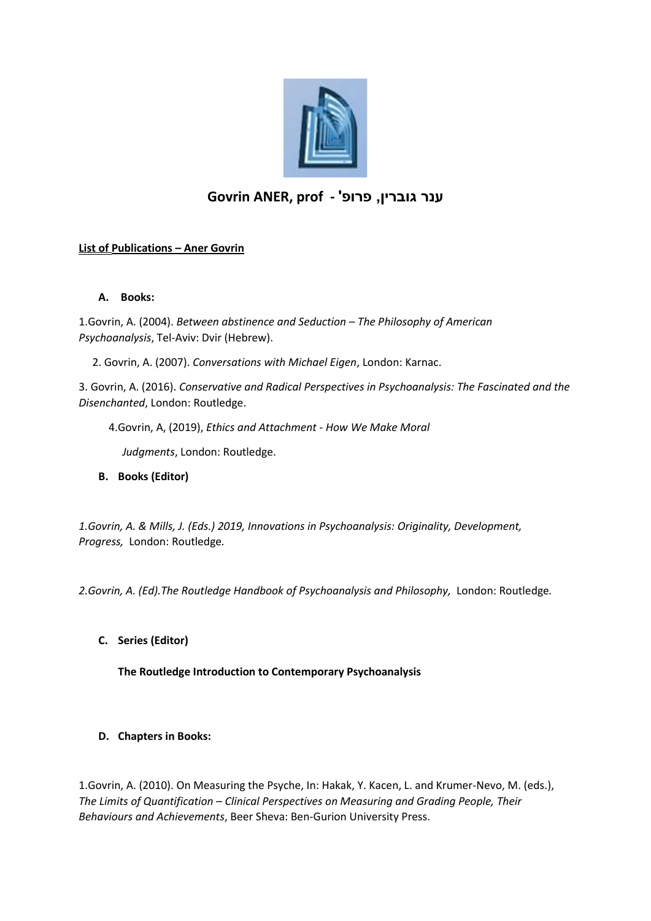

# **ענר גוברין, פרופ' - prof ,ANER Govrin**

## **List of Publications – Aner Govrin**

#### **A. Books:**

1.Govrin, A. (2004). *Between abstinence and Seduction – The Philosophy of American Psychoanalysis*, Tel-Aviv: Dvir (Hebrew).

2. Govrin, A. (2007). *Conversations with Michael Eigen*, London: Karnac.

3. Govrin, A. (2016). *Conservative and Radical Perspectives in Psychoanalysis: The Fascinated and the Disenchanted*, London: Routledge.

4.Govrin, A, (2019), *Ethics and Attachment - How We Make Moral* 

 *Judgments*, London: Routledge.

**B. Books (Editor)**

*1.Govrin, A. & Mills, J. (Eds.) 2019, Innovations in Psychoanalysis: Originality, Development, Progress,* London: Routledge*.*

*2.Govrin, A. (Ed).The Routledge Handbook of Psychoanalysis and Philosophy,* London: Routledge*.*

**C. Series (Editor)**

**The Routledge Introduction to Contemporary Psychoanalysis** 

### **D. Chapters in Books:**

1.Govrin, A. (2010). On Measuring the Psyche, In: Hakak, Y. Kacen, L. and Krumer-Nevo, M. (eds.), *The Limits of Quantification – Clinical Perspectives on Measuring and Grading People, Their Behaviours and Achievements*, Beer Sheva: Ben-Gurion University Press.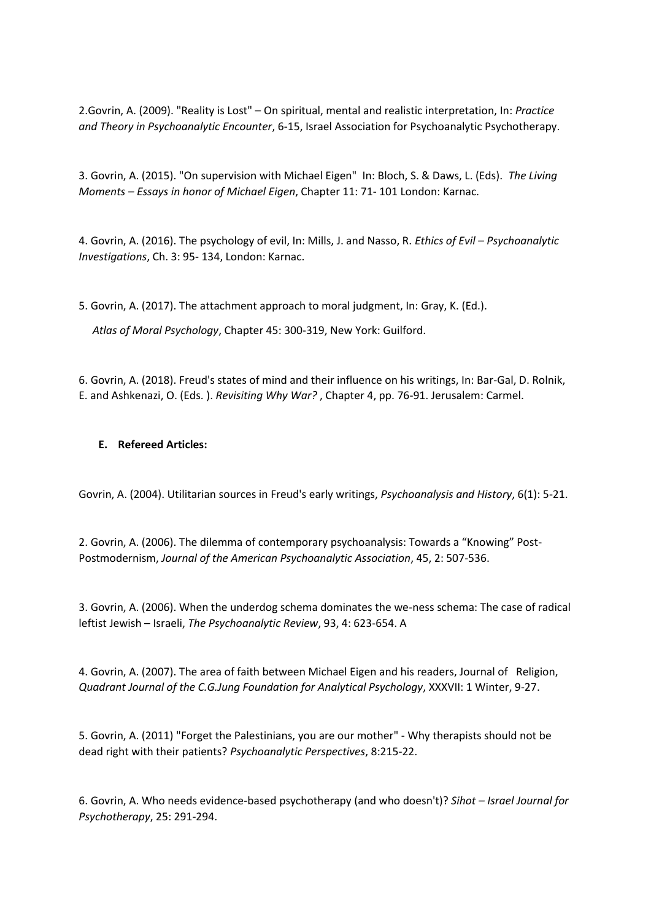2.Govrin, A. (2009). "Reality is Lost" – On spiritual, mental and realistic interpretation, In: *Practice and Theory in Psychoanalytic Encounter*, 6-15, Israel Association for Psychoanalytic Psychotherapy.

3. Govrin, A. (2015). "On supervision with Michael Eigen" In: Bloch, S. & Daws, L. (Eds). *The Living Moments – Essays in honor of Michael Eigen*, Chapter 11: 71- 101 London: Karnac.

4. Govrin, A. (2016). The psychology of evil, In: Mills, J. and Nasso, R. *Ethics of Evil – Psychoanalytic Investigations*, Ch. 3: 95- 134, London: Karnac.

5. Govrin, A. (2017). The attachment approach to moral judgment, In: Gray, K. (Ed.).

*Atlas of Moral Psychology*, Chapter 45: 300-319, New York: Guilford.

6. Govrin, A. (2018). Freud's states of mind and their influence on his writings, In: Bar-Gal, D. Rolnik, E. and Ashkenazi, O. (Eds. ). *Revisiting Why War?* , Chapter 4, pp. 76-91. Jerusalem: Carmel.

#### **E. Refereed Articles:**

Govrin, A. (2004). Utilitarian sources in Freud's early writings, *Psychoanalysis and History*, 6(1): 5-21.

2. Govrin, A. (2006). The dilemma of contemporary psychoanalysis: Towards a "Knowing" Post-Postmodernism, *Journal of the American Psychoanalytic Association*, 45, 2: 507-536.

3. Govrin, A. (2006). When the underdog schema dominates the we-ness schema: The case of radical leftist Jewish – Israeli, *The Psychoanalytic Review*, 93, 4: 623-654. A

4. Govrin, A. (2007). The area of faith between Michael Eigen and his readers, Journal of Religion, *Quadrant Journal of the C.G.Jung Foundation for Analytical Psychology*, XXXVII: 1 Winter, 9-27.

5. Govrin, A. (2011) "Forget the Palestinians, you are our mother" - Why therapists should not be dead right with their patients? *Psychoanalytic Perspectives*, 8:215-22.

6. Govrin, A. Who needs evidence-based psychotherapy (and who doesn't)? *Sihot – Israel Journal for Psychotherapy*, 25: 291-294.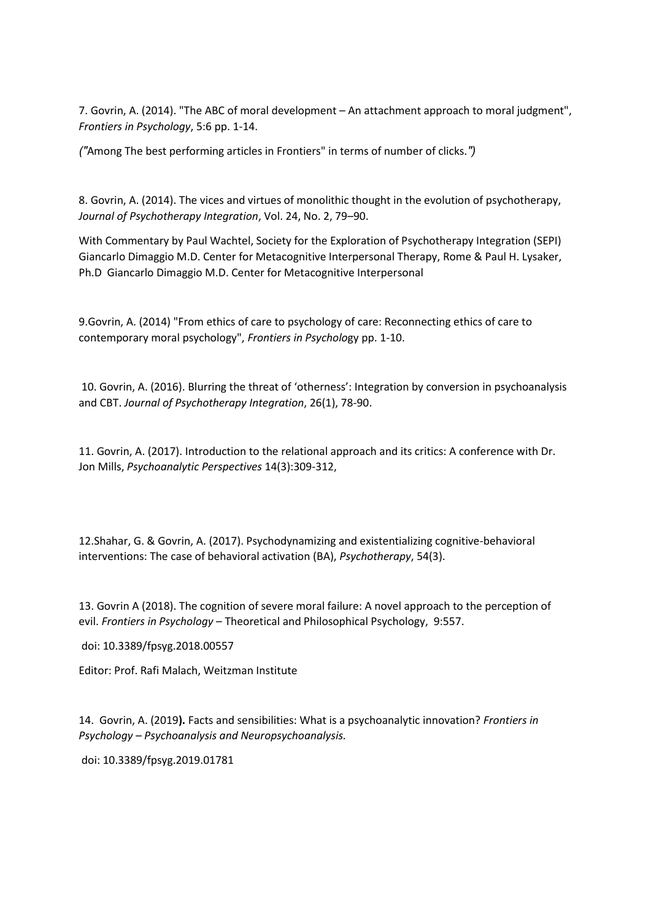7. Govrin, A. (2014). "The ABC of moral development – An attachment approach to moral judgment", *Frontiers in Psychology*, 5:6 pp. 1-14.

*)"*Among The best performing articles in Frontiers" in terms of number of clicks*."(*

8. Govrin, A. (2014). The vices and virtues of monolithic thought in the evolution of psychotherapy, *Journal of Psychotherapy Integration*, Vol. 24, No. 2, 79–90.

With Commentary by Paul Wachtel, Society for the Exploration of Psychotherapy Integration (SEPI) Giancarlo Dimaggio M.D. Center for Metacognitive Interpersonal Therapy, Rome & Paul H. Lysaker, Ph.D Giancarlo Dimaggio M.D. Center for Metacognitive Interpersonal

9.Govrin, A. (2014) "From ethics of care to psychology of care: Reconnecting ethics of care to contemporary moral psychology", *Frontiers in Psycholo*gy pp. 1-10.

10. Govrin, A. (2016). Blurring the threat of 'otherness': Integration by conversion in psychoanalysis and CBT. *Journal of Psychotherapy Integration*, 26(1), 78-90.

11. Govrin, A. (2017). Introduction to the relational approach and its critics: A conference with Dr. Jon Mills, *Psychoanalytic Perspectives* 14(3):309-312,

12.Shahar, G. & Govrin, A. (2017). Psychodynamizing and existentializing cognitive-behavioral interventions: The case of behavioral activation (BA), *Psychotherapy*, 54(3).

13. Govrin A (2018). The cognition of severe moral failure: A novel approach to the perception of evil. *Frontiers in Psychology* – Theoretical and Philosophical Psychology, 9:557.

doi: 10.3389/fpsyg.2018.00557

Editor: Prof. Rafi Malach, Weitzman Institute

14. Govrin, A. (2019**).** Facts and sensibilities: What is a psychoanalytic innovation? *Frontiers in Psychology – Psychoanalysis and Neuropsychoanalysis.* 

doi: 10.3389/fpsyg.2019.01781